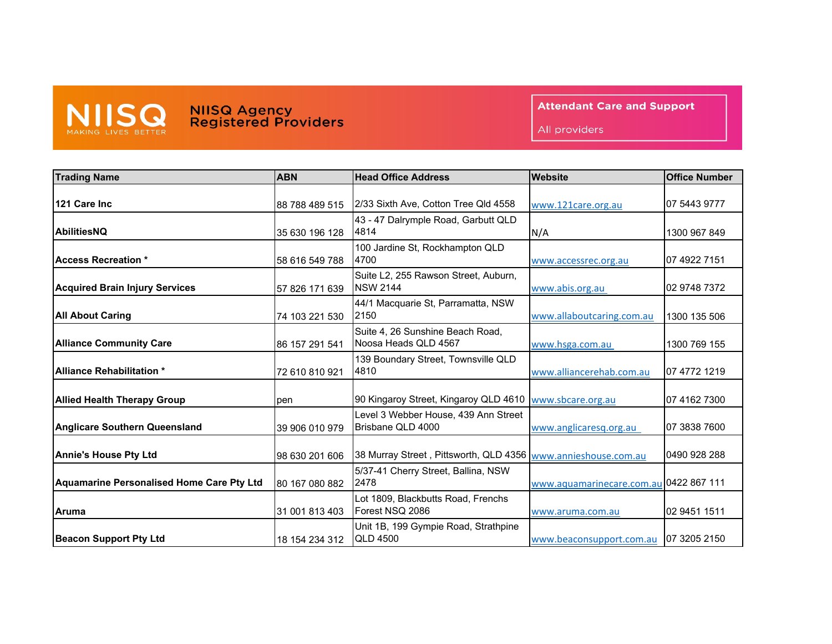

## **NIISQ Agency<br>Registered Providers**

**Attendant Care and Support** 

All providers

| <b>Trading Name</b>                       | <b>ABN</b>     | <b>Head Office Address</b>                                    | <b>Website</b>            | <b>Office Number</b> |
|-------------------------------------------|----------------|---------------------------------------------------------------|---------------------------|----------------------|
| 121 Care Inc                              | 88 788 489 515 | 2/33 Sixth Ave, Cotton Tree Qld 4558                          | www.121care.org.au        | 07 5443 9777         |
|                                           |                |                                                               |                           |                      |
| <b>IAbilitiesNQ</b>                       | 35 630 196 128 | 43 - 47 Dalrymple Road, Garbutt QLD<br>4814                   | N/A                       | 1300 967 849         |
| <b>Access Recreation *</b>                | 58 616 549 788 | 100 Jardine St, Rockhampton QLD<br>4700                       | www.accessrec.org.au      | 07 4922 7151         |
| <b>Acquired Brain Injury Services</b>     | 57 826 171 639 | Suite L2, 255 Rawson Street, Auburn,<br><b>NSW 2144</b>       | www.abis.org.au           | 02 9748 7372         |
| <b>All About Caring</b>                   | 74 103 221 530 | 44/1 Macquarie St, Parramatta, NSW<br>2150                    | www.allaboutcaring.com.au | 1300 135 506         |
| <b>Alliance Community Care</b>            | 86 157 291 541 | Suite 4, 26 Sunshine Beach Road,<br>Noosa Heads QLD 4567      | www.hsga.com.au           | 1300 769 155         |
| <b>Alliance Rehabilitation *</b>          | 72 610 810 921 | 139 Boundary Street, Townsville QLD<br>4810                   | www.alliancerehab.com.au  | 07 4772 1219         |
| <b>Allied Health Therapy Group</b>        | pen            | 90 Kingaroy Street, Kingaroy QLD 4610                         | www.sbcare.org.au         | 07 4162 7300         |
| <b>Anglicare Southern Queensland</b>      | 39 906 010 979 | Level 3 Webber House, 439 Ann Street<br>Brisbane QLD 4000     | www.anglicaresq.org.au    | 07 3838 7600         |
| <b>Annie's House Pty Ltd</b>              | 98 630 201 606 | 38 Murray Street, Pittsworth, QLD 4356 www.annieshouse.com.au |                           | 0490 928 288         |
| Aquamarine Personalised Home Care Pty Ltd | 80 167 080 882 | 5/37-41 Cherry Street, Ballina, NSW<br>2478                   | www.aquamarinecare.com.au | 0422 867 111         |
| Aruma                                     | 31 001 813 403 | Lot 1809, Blackbutts Road, Frenchs<br>Forest NSQ 2086         | www.aruma.com.au          | 02 9451 1511         |
| <b>Beacon Support Pty Ltd</b>             | 18 154 234 312 | Unit 1B, 199 Gympie Road, Strathpine<br><b>QLD 4500</b>       | www.beaconsupport.com.au  | 07 3205 2150         |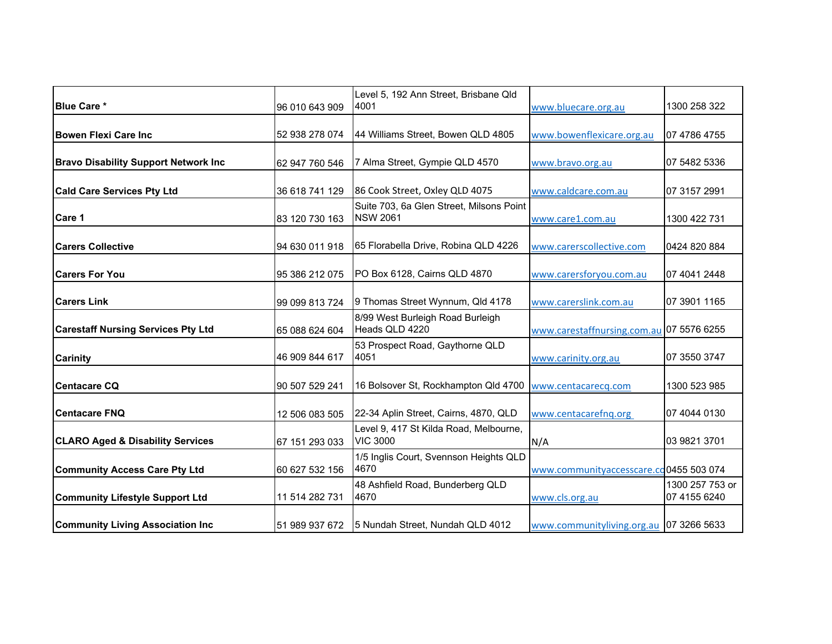|                                             |                | Level 5, 192 Ann Street, Brisbane Qld    |                                          |                 |
|---------------------------------------------|----------------|------------------------------------------|------------------------------------------|-----------------|
| <b>Blue Care *</b>                          | 96 010 643 909 | 4001                                     | www.bluecare.org.au                      | 1300 258 322    |
|                                             |                |                                          |                                          |                 |
| <b>Bowen Flexi Care Inc</b>                 | 52 938 278 074 | 44 Williams Street, Bowen QLD 4805       | www.bowenflexicare.org.au                | 07 4786 4755    |
|                                             |                |                                          |                                          |                 |
| <b>Bravo Disability Support Network Inc</b> | 62 947 760 546 | 7 Alma Street, Gympie QLD 4570           | www.bravo.org.au                         | 07 5482 5336    |
|                                             |                |                                          |                                          |                 |
| <b>Cald Care Services Pty Ltd</b>           | 36 618 741 129 | 86 Cook Street, Oxley QLD 4075           | www.caldcare.com.au                      | 07 3157 2991    |
|                                             |                | Suite 703, 6a Glen Street, Milsons Point |                                          |                 |
| Care 1                                      | 83 120 730 163 | <b>NSW 2061</b>                          | www.care1.com.au                         | 1300 422 731    |
| <b>ICarers Collective</b>                   | 94 630 011 918 | 65 Florabella Drive, Robina QLD 4226     | www.carerscollective.com                 | 0424 820 884    |
|                                             |                |                                          |                                          |                 |
| <b>Carers For You</b>                       | 95 386 212 075 | PO Box 6128, Cairns QLD 4870             | www.carersforyou.com.au                  | 07 4041 2448    |
|                                             |                |                                          |                                          |                 |
| <b>Carers Link</b>                          | 99 099 813 724 | 9 Thomas Street Wynnum, Qld 4178         | www.carerslink.com.au                    | 07 3901 1165    |
|                                             |                | 8/99 West Burleigh Road Burleigh         |                                          |                 |
| <b>Carestaff Nursing Services Pty Ltd</b>   | 65 088 624 604 | Heads QLD 4220                           | www.carestaffnursing.com.au 07 5576 6255 |                 |
|                                             |                | 53 Prospect Road, Gaythorne QLD          |                                          |                 |
| <b>Carinity</b>                             | 46 909 844 617 | 4051                                     | www.carinity.org.au                      | 07 3550 3747    |
|                                             |                |                                          |                                          |                 |
| Centacare CQ                                | 90 507 529 241 | 16 Bolsover St, Rockhampton Qld 4700     | www.centacarecq.com                      | 1300 523 985    |
| <b>Centacare FNQ</b>                        | 12 506 083 505 | 22-34 Aplin Street, Cairns, 4870, QLD    | www.centacarefnq.org                     | 07 4044 0130    |
|                                             |                | Level 9, 417 St Kilda Road, Melbourne,   |                                          |                 |
| <b>CLARO Aged &amp; Disability Services</b> | 67 151 293 033 | <b>VIC 3000</b>                          | N/A                                      | 03 9821 3701    |
|                                             |                | 1/5 Inglis Court, Svennson Heights QLD   |                                          |                 |
| <b>Community Access Care Pty Ltd</b>        | 60 627 532 156 | 4670                                     | www.communityaccesscare.cd0455 503 074   |                 |
|                                             |                | 48 Ashfield Road, Bunderberg QLD         |                                          | 1300 257 753 or |
| <b>Community Lifestyle Support Ltd</b>      | 11 514 282 731 | 4670                                     | www.cls.org.au                           | 07 4155 6240    |
|                                             |                |                                          |                                          |                 |
| <b>Community Living Association Inc.</b>    | 51 989 937 672 | 5 Nundah Street, Nundah QLD 4012         | www.communityliving.org.au               | 07 3266 5633    |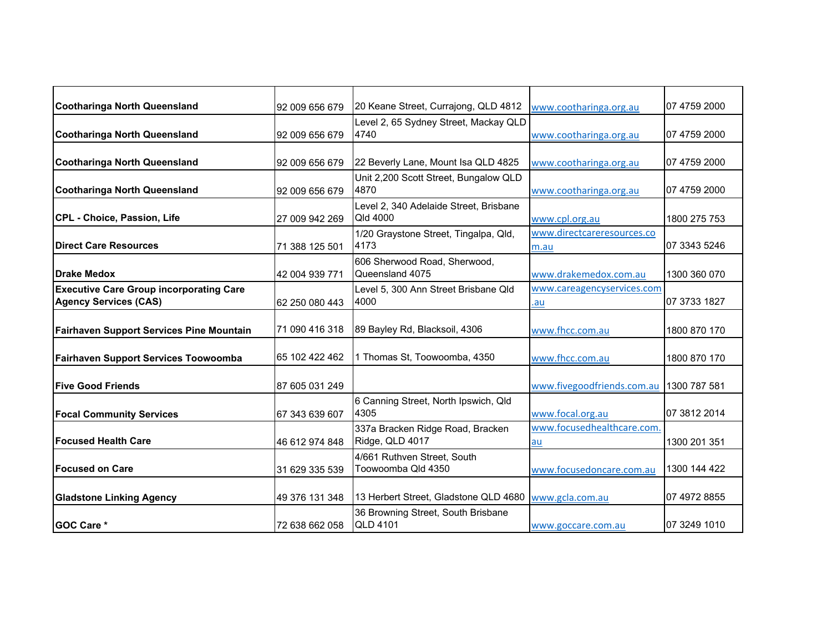| Cootharinga North Queensland                    | 92 009 656 679 | 20 Keane Street, Currajong, QLD 4812               | www.cootharinga.org.au     | 07 4759 2000 |
|-------------------------------------------------|----------------|----------------------------------------------------|----------------------------|--------------|
|                                                 |                | Level 2, 65 Sydney Street, Mackay QLD<br>4740      |                            | 07 4759 2000 |
| Cootharinga North Queensland                    | 92 009 656 679 |                                                    | www.cootharinga.org.au     |              |
|                                                 |                |                                                    |                            |              |
| <b>Cootharinga North Queensland</b>             | 92 009 656 679 | 22 Beverly Lane, Mount Isa QLD 4825                | www.cootharinga.org.au     | 07 4759 2000 |
|                                                 |                | Unit 2,200 Scott Street, Bungalow QLD<br>4870      |                            |              |
| Cootharinga North Queensland                    | 92 009 656 679 |                                                    | www.cootharinga.org.au     | 07 4759 2000 |
|                                                 |                | Level 2, 340 Adelaide Street, Brisbane<br>Qld 4000 |                            |              |
| CPL - Choice, Passion, Life                     | 27 009 942 269 |                                                    | www.cpl.org.au             | 1800 275 753 |
|                                                 |                | 1/20 Graystone Street, Tingalpa, Qld,              | www.directcareresources.co |              |
| <b>Direct Care Resources</b>                    | 71 388 125 501 | 4173                                               | m.au                       | 07 3343 5246 |
|                                                 |                | 606 Sherwood Road, Sherwood,                       |                            |              |
| <b>Drake Medox</b>                              | 42 004 939 771 | Queensland 4075                                    | www.drakemedox.com.au      | 1300 360 070 |
| <b>Executive Care Group incorporating Care</b>  |                | Level 5, 300 Ann Street Brisbane Qld               | www.careagencyservices.com |              |
| <b>Agency Services (CAS)</b>                    | 62 250 080 443 | 4000                                               | .au                        | 07 3733 1827 |
|                                                 |                |                                                    |                            |              |
| <b>Fairhaven Support Services Pine Mountain</b> | 71 090 416 318 | 89 Bayley Rd, Blacksoil, 4306                      | www.fhcc.com.au            | 1800 870 170 |
|                                                 |                |                                                    |                            |              |
| <b>Fairhaven Support Services Toowoomba</b>     | 65 102 422 462 | 1 Thomas St, Toowoomba, 4350                       | www.fhcc.com.au            | 1800 870 170 |
|                                                 |                |                                                    |                            |              |
| <b>Five Good Friends</b>                        | 87 605 031 249 |                                                    | www.fivegoodfriends.com.au | 1300 787 581 |
|                                                 |                | 6 Canning Street, North Ipswich, Qld               |                            |              |
| <b>Focal Community Services</b>                 | 67 343 639 607 | 4305                                               | www.focal.org.au           | 07 3812 2014 |
|                                                 |                | 337a Bracken Ridge Road, Bracken                   | www.focusedhealthcare.com  |              |
| <b>Focused Health Care</b>                      | 46 612 974 848 | Ridge, QLD 4017                                    | au                         | 1300 201 351 |
|                                                 |                | 4/661 Ruthven Street, South                        |                            |              |
| <b>Focused on Care</b>                          | 31 629 335 539 | Toowoomba Qld 4350                                 | www.focusedoncare.com.au   | 1300 144 422 |
|                                                 |                |                                                    |                            |              |
| <b>Gladstone Linking Agency</b>                 | 49 376 131 348 | 13 Herbert Street, Gladstone QLD 4680              | www.gcla.com.au            | 07 4972 8855 |
|                                                 |                | 36 Browning Street, South Brisbane                 |                            |              |
| <b>GOC Care *</b>                               | 72 638 662 058 | <b>QLD 4101</b>                                    | www.goccare.com.au         | 07 3249 1010 |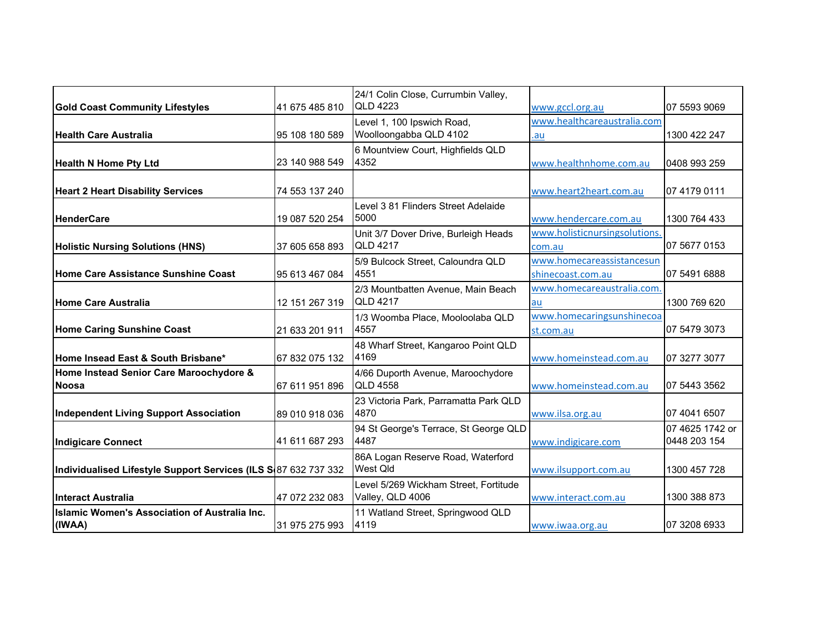|                                                                 |                | 24/1 Colin Close, Currumbin Valley,                  |                               |                                 |
|-----------------------------------------------------------------|----------------|------------------------------------------------------|-------------------------------|---------------------------------|
| <b>Gold Coast Community Lifestyles</b>                          | 41 675 485 810 | <b>QLD 4223</b>                                      | www.gccl.org.au               | 07 5593 9069                    |
|                                                                 |                |                                                      | www.healthcareaustralia.com   |                                 |
|                                                                 |                | Level 1, 100 Ipswich Road,<br>Woolloongabba QLD 4102 |                               |                                 |
| <b>Health Care Australia</b>                                    | 95 108 180 589 |                                                      | .au                           | 1300 422 247                    |
|                                                                 |                | 6 Mountview Court, Highfields QLD                    |                               |                                 |
| <b>Health N Home Pty Ltd</b>                                    | 23 140 988 549 | 4352                                                 | www.healthnhome.com.au        | 0408 993 259                    |
|                                                                 |                |                                                      |                               |                                 |
| <b>Heart 2 Heart Disability Services</b>                        | 74 553 137 240 |                                                      | www.heart2heart.com.au        | 07 4179 0111                    |
|                                                                 |                | Level 3 81 Flinders Street Adelaide                  |                               |                                 |
| <b>HenderCare</b>                                               | 19 087 520 254 | 5000                                                 | www.hendercare.com.au         | 1300 764 433                    |
|                                                                 |                | Unit 3/7 Dover Drive, Burleigh Heads                 | www.holisticnursingsolutions. |                                 |
| <b>Holistic Nursing Solutions (HNS)</b>                         | 37 605 658 893 | <b>QLD 4217</b>                                      | com.au                        | 07 5677 0153                    |
|                                                                 |                | 5/9 Bulcock Street, Caloundra QLD                    | www.homecareassistancesun     |                                 |
| Home Care Assistance Sunshine Coast                             | 95 613 467 084 | 4551                                                 | shinecoast.com.au             | 07 5491 6888                    |
|                                                                 |                | 2/3 Mountbatten Avenue, Main Beach                   | www.homecareaustralia.com.    |                                 |
| Home Care Australia                                             | 12 151 267 319 | <b>QLD 4217</b>                                      | au                            | 1300 769 620                    |
|                                                                 |                | 1/3 Woomba Place, Mooloolaba QLD                     | www.homecaringsunshinecoa     |                                 |
| <b>Home Caring Sunshine Coast</b>                               | 21 633 201 911 | 4557                                                 | st.com.au                     | 07 5479 3073                    |
|                                                                 |                | 48 Wharf Street, Kangaroo Point QLD                  |                               |                                 |
| Home Insead East & South Brisbane*                              | 67 832 075 132 | 4169                                                 | www.homeinstead.com.au        | 07 3277 3077                    |
| Home Instead Senior Care Maroochydore &                         |                | 4/66 Duporth Avenue, Maroochydore                    |                               |                                 |
| <b>Noosa</b>                                                    | 67 611 951 896 | <b>QLD 4558</b>                                      | www.homeinstead.com.au        | 07 5443 3562                    |
|                                                                 |                | 23 Victoria Park, Parramatta Park QLD                |                               |                                 |
| <b>Independent Living Support Association</b>                   | 89 010 918 036 | 4870                                                 | www.ilsa.org.au               | 07 4041 6507                    |
|                                                                 |                |                                                      |                               |                                 |
|                                                                 | 41 611 687 293 | 94 St George's Terrace, St George QLD<br>4487        |                               | 07 4625 1742 or<br>0448 203 154 |
| Indigicare Connect                                              |                |                                                      | www.indigicare.com            |                                 |
|                                                                 |                | 86A Logan Reserve Road, Waterford                    |                               |                                 |
| Individualised Lifestyle Support Services (ILS S887 632 737 332 |                | West Qld                                             | www.ilsupport.com.au          | 1300 457 728                    |
|                                                                 |                | Level 5/269 Wickham Street, Fortitude                |                               |                                 |
| IInteract Australia                                             | 47 072 232 083 | Valley, QLD 4006                                     | www.interact.com.au           | 1300 388 873                    |
| <b>Islamic Women's Association of Australia Inc.</b>            |                | 11 Watland Street, Springwood QLD                    |                               |                                 |
| (IWAA)                                                          | 31 975 275 993 | 4119                                                 | www.iwaa.org.au               | 07 3208 6933                    |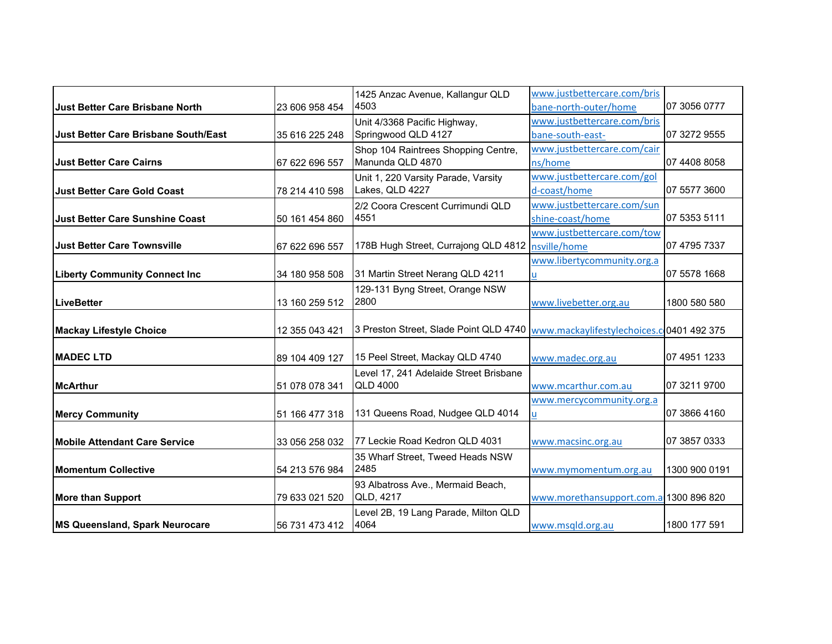|                                        |                | 1425 Anzac Avenue, Kallangur QLD       | www.justbettercare.com/bris               |               |
|----------------------------------------|----------------|----------------------------------------|-------------------------------------------|---------------|
| <b>Just Better Care Brisbane North</b> | 23 606 958 454 | 4503                                   | bane-north-outer/home                     | 07 3056 0777  |
|                                        |                | Unit 4/3368 Pacific Highway,           | www.justbettercare.com/bris               |               |
| Uust Better Care Brisbane South/East   | 35 616 225 248 | Springwood QLD 4127                    | bane-south-east-                          | 07 3272 9555  |
|                                        |                | Shop 104 Raintrees Shopping Centre,    | www.justbettercare.com/cair               |               |
| <b>Just Better Care Cairns</b>         | 67 622 696 557 | Manunda QLD 4870                       | ns/home                                   | 07 4408 8058  |
|                                        |                | Unit 1, 220 Varsity Parade, Varsity    | www.justbettercare.com/gol                |               |
| <b>Just Better Care Gold Coast</b>     | 78 214 410 598 | Lakes, QLD 4227                        | d-coast/home                              | 07 5577 3600  |
|                                        |                | 2/2 Coora Crescent Currimundi QLD      | www.justbettercare.com/sun                |               |
| <b>Just Better Care Sunshine Coast</b> | 50 161 454 860 | 4551                                   | shine-coast/home                          | 07 5353 5111  |
|                                        |                |                                        | www.justbettercare.com/tow                |               |
| <b>Uust Better Care Townsville</b>     | 67 622 696 557 | 178B Hugh Street, Currajong QLD 4812   | nsville/home                              | 07 4795 7337  |
|                                        |                |                                        | www.libertycommunity.org.a                |               |
| <b>Liberty Community Connect Inc</b>   | 34 180 958 508 | 31 Martin Street Nerang QLD 4211       | u                                         | 07 5578 1668  |
|                                        |                | 129-131 Byng Street, Orange NSW        |                                           |               |
| <b>LiveBetter</b>                      | 13 160 259 512 | 2800                                   | www.livebetter.org.au                     | 1800 580 580  |
|                                        |                |                                        |                                           |               |
| <b>Mackay Lifestyle Choice</b>         | 12 355 043 421 | 3 Preston Street, Slade Point QLD 4740 | www.mackaylifestylechoices.c 0401 492 375 |               |
|                                        |                |                                        |                                           |               |
| <b>MADEC LTD</b>                       | 89 104 409 127 | 15 Peel Street, Mackay QLD 4740        | www.madec.org.au                          | 07 4951 1233  |
|                                        |                | Level 17, 241 Adelaide Street Brisbane |                                           |               |
| <b>McArthur</b>                        | 51 078 078 341 | <b>QLD 4000</b>                        | www.mcarthur.com.au                       | 07 3211 9700  |
|                                        |                |                                        | www.mercycommunity.org.a                  |               |
| <b>Mercy Community</b>                 | 51 166 477 318 | 131 Queens Road, Nudgee QLD 4014       | u                                         | 07 3866 4160  |
|                                        |                |                                        |                                           |               |
| <b>Mobile Attendant Care Service</b>   | 33 056 258 032 | 77 Leckie Road Kedron QLD 4031         | www.macsinc.org.au                        | 07 3857 0333  |
|                                        |                | 35 Wharf Street, Tweed Heads NSW       |                                           |               |
| <b>Momentum Collective</b>             | 54 213 576 984 | 2485                                   | www.mymomentum.org.au                     | 1300 900 0191 |
|                                        |                | 93 Albatross Ave., Mermaid Beach,      |                                           |               |
| <b>More than Support</b>               | 79 633 021 520 | QLD, 4217                              | www.morethansupport.com.a 1300 896 820    |               |
|                                        |                | Level 2B, 19 Lang Parade, Milton QLD   |                                           |               |
| MS Queensland, Spark Neurocare         | 56 731 473 412 | 4064                                   | www.msqld.org.au                          | 1800 177 591  |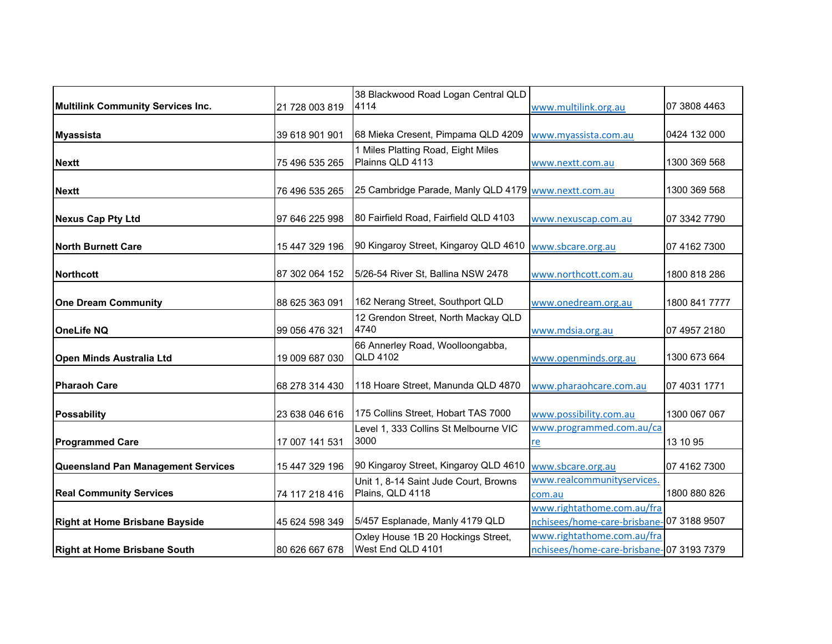|                                       |                | 38 Blackwood Road Logan Central QLD                       |                                                                        |               |
|---------------------------------------|----------------|-----------------------------------------------------------|------------------------------------------------------------------------|---------------|
| Multilink Community Services Inc.     | 21 728 003 819 | 4114                                                      | www.multilink.org.au                                                   | 07 3808 4463  |
| <b>Myassista</b>                      | 39 618 901 901 | 68 Mieka Cresent, Pimpama QLD 4209                        | www.myassista.com.au                                                   | 0424 132 000  |
| <b>Nextt</b>                          | 75 496 535 265 | 1 Miles Platting Road, Eight Miles<br>Plainns QLD 4113    | www.nextt.com.au                                                       | 1300 369 568  |
| <b>Nextt</b>                          | 76 496 535 265 | 25 Cambridge Parade, Manly QLD 4179                       | www.nextt.com.au                                                       | 1300 369 568  |
| <b>Nexus Cap Pty Ltd</b>              | 97 646 225 998 | 80 Fairfield Road, Fairfield QLD 4103                     | www.nexuscap.com.au                                                    | 07 3342 7790  |
| <b>North Burnett Care</b>             | 15 447 329 196 | 90 Kingaroy Street, Kingaroy QLD 4610                     | www.sbcare.org.au                                                      | 07 4162 7300  |
| <b>Northcott</b>                      | 87 302 064 152 | 5/26-54 River St, Ballina NSW 2478                        | www.northcott.com.au                                                   | 1800 818 286  |
| <b>One Dream Community</b>            | 88 625 363 091 | 162 Nerang Street, Southport QLD                          | www.onedream.org.au                                                    | 1800 841 7777 |
| <b>OneLife NQ</b>                     | 99 056 476 321 | 12 Grendon Street, North Mackay QLD<br>4740               | www.mdsia.org.au                                                       | 07 4957 2180  |
| <b>Open Minds Australia Ltd</b>       | 19 009 687 030 | 66 Annerley Road, Woolloongabba,<br><b>QLD 4102</b>       | www.openminds.org.au                                                   | 1300 673 664  |
| <b>Pharaoh Care</b>                   | 68 278 314 430 | 118 Hoare Street, Manunda QLD 4870                        | www.pharaohcare.com.au                                                 | 07 4031 1771  |
| <b>Possability</b>                    | 23 638 046 616 | 175 Collins Street, Hobart TAS 7000                       | www.possibility.com.au                                                 | 1300 067 067  |
| <b>Programmed Care</b>                | 17 007 141 531 | Level 1, 333 Collins St Melbourne VIC<br>3000             | www.programmed.com.au/ca<br>re                                         | 13 10 95      |
| Queensland Pan Management Services    | 15 447 329 196 | 90 Kingaroy Street, Kingaroy QLD 4610                     | www.sbcare.org.au                                                      | 07 4162 7300  |
| <b>Real Community Services</b>        | 74 117 218 416 | Unit 1, 8-14 Saint Jude Court, Browns<br>Plains, QLD 4118 | www.realcommunityservices.<br>com.au                                   | 1800 880 826  |
| <b>Right at Home Brisbane Bayside</b> | 45 624 598 349 | 5/457 Esplanade, Manly 4179 QLD                           | www.rightathome.com.au/fra<br>nchisees/home-care-brisbane-07 3188 9507 |               |
| <b>Right at Home Brisbane South</b>   | 80 626 667 678 | Oxley House 1B 20 Hockings Street,<br>West End QLD 4101   | www.rightathome.com.au/fra<br>nchisees/home-care-brisbane-07 3193 7379 |               |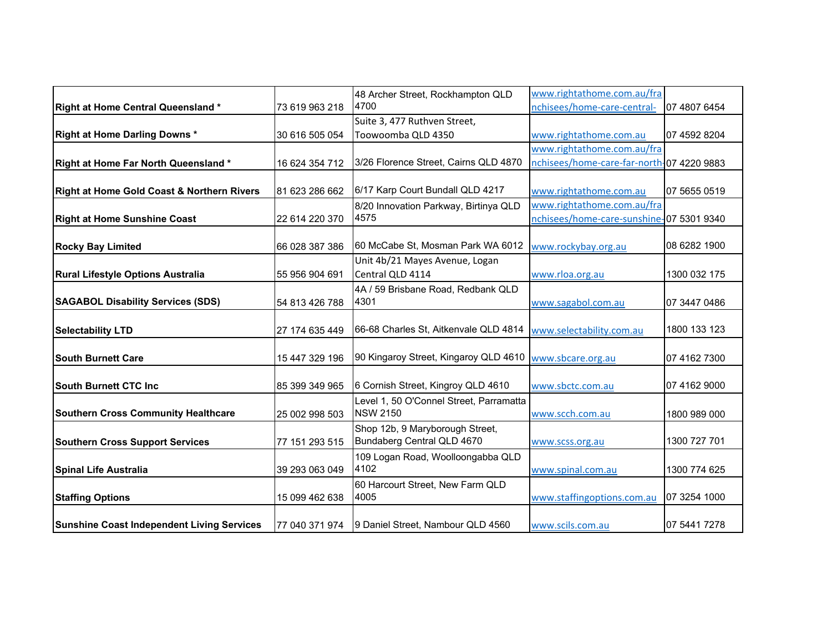|                                                       |                | 48 Archer Street, Rockhampton QLD                             | www.rightathome.com.au/fra                |              |
|-------------------------------------------------------|----------------|---------------------------------------------------------------|-------------------------------------------|--------------|
| <b>Right at Home Central Queensland*</b>              | 73 619 963 218 | 4700                                                          | nchisees/home-care-central-               | 07 4807 6454 |
|                                                       |                | Suite 3, 477 Ruthven Street,                                  |                                           |              |
| <b>Right at Home Darling Downs *</b>                  | 30 616 505 054 | Toowoomba QLD 4350                                            | www.rightathome.com.au                    | 07 4592 8204 |
|                                                       |                |                                                               | www.rightathome.com.au/fra                |              |
| <b>Right at Home Far North Queensland*</b>            | 16 624 354 712 | 3/26 Florence Street, Cairns QLD 4870                         | nchisees/home-care-far-north-07 4220 9883 |              |
|                                                       |                |                                                               |                                           |              |
| <b>Right at Home Gold Coast &amp; Northern Rivers</b> | 81 623 286 662 | 6/17 Karp Court Bundall QLD 4217                              | www.rightathome.com.au                    | 07 5655 0519 |
|                                                       |                | 8/20 Innovation Parkway, Birtinya QLD                         | www.rightathome.com.au/fra                |              |
| <b>Right at Home Sunshine Coast</b>                   | 22 614 220 370 | 4575                                                          | nchisees/home-care-sunshine-07 5301 9340  |              |
|                                                       |                |                                                               |                                           |              |
| <b>Rocky Bay Limited</b>                              | 66 028 387 386 | 60 McCabe St, Mosman Park WA 6012                             | www.rockybay.org.au                       | 08 6282 1900 |
|                                                       |                | Unit 4b/21 Mayes Avenue, Logan                                |                                           |              |
| <b>Rural Lifestyle Options Australia</b>              | 55 956 904 691 | Central QLD 4114                                              | www.rloa.org.au                           | 1300 032 175 |
|                                                       |                | 4A / 59 Brisbane Road, Redbank QLD                            |                                           |              |
| <b>SAGABOL Disability Services (SDS)</b>              | 54 813 426 788 | 4301                                                          | www.sagabol.com.au                        | 07 3447 0486 |
|                                                       |                |                                                               |                                           |              |
| <b>Selectability LTD</b>                              | 27 174 635 449 | 66-68 Charles St, Aitkenvale QLD 4814                         | www.selectability.com.au                  | 1800 133 123 |
|                                                       |                |                                                               |                                           |              |
| <b>South Burnett Care</b>                             | 15 447 329 196 | 90 Kingaroy Street, Kingaroy QLD 4610                         | www.sbcare.org.au                         | 07 4162 7300 |
|                                                       |                |                                                               |                                           |              |
| <b>South Burnett CTC Inc.</b>                         | 85 399 349 965 | 6 Cornish Street, Kingroy QLD 4610                            | www.sbctc.com.au                          | 07 4162 9000 |
|                                                       |                | Level 1, 50 O'Connel Street, Parramatta<br><b>NSW 2150</b>    |                                           |              |
| <b>Southern Cross Community Healthcare</b>            | 25 002 998 503 |                                                               | www.scch.com.au                           | 1800 989 000 |
|                                                       |                | Shop 12b, 9 Maryborough Street,<br>Bundaberg Central QLD 4670 |                                           | 1300 727 701 |
| <b>Southern Cross Support Services</b>                | 77 151 293 515 |                                                               | www.scss.org.au                           |              |
| Spinal Life Australia                                 | 39 293 063 049 | 109 Logan Road, Woolloongabba QLD<br>4102                     | www.spinal.com.au                         | 1300 774 625 |
|                                                       |                |                                                               |                                           |              |
|                                                       | 15 099 462 638 | 60 Harcourt Street, New Farm QLD<br>4005                      | www.staffingoptions.com.au                | 07 3254 1000 |
| <b>Staffing Options</b>                               |                |                                                               |                                           |              |
| <b>Sunshine Coast Independent Living Services</b>     | 77 040 371 974 | 9 Daniel Street, Nambour QLD 4560                             | www.scils.com.au                          | 07 5441 7278 |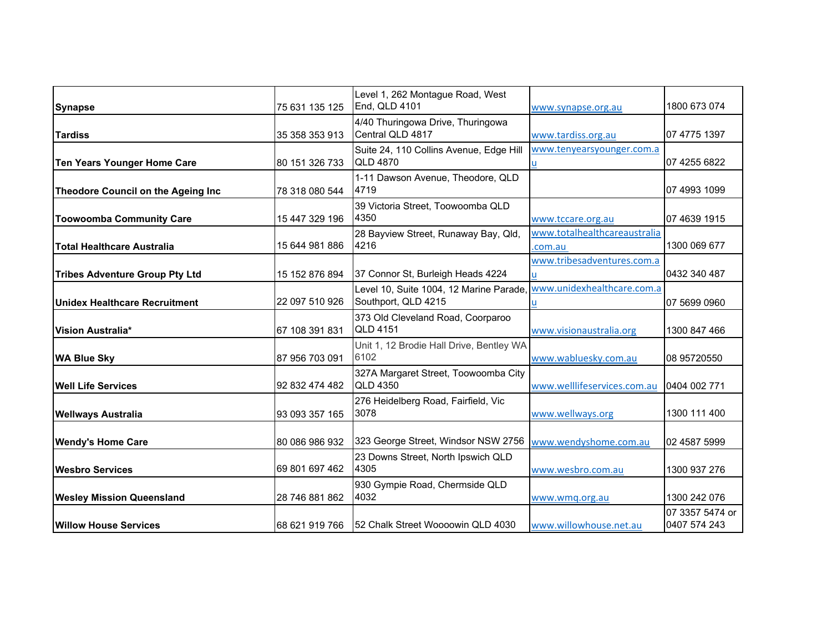|                                       | 75 631 135 125 | Level 1, 262 Montague Road, West<br>End, QLD 4101     |                              | 1800 673 074    |
|---------------------------------------|----------------|-------------------------------------------------------|------------------------------|-----------------|
| <b>Synapse</b>                        |                |                                                       | www.synapse.org.au           |                 |
| <b>Tardiss</b>                        | 35 358 353 913 | 4/40 Thuringowa Drive, Thuringowa<br>Central QLD 4817 | www.tardiss.org.au           | 07 4775 1397    |
|                                       |                | Suite 24, 110 Collins Avenue, Edge Hill               | www.tenyearsyounger.com.a    |                 |
| <b>Ten Years Younger Home Care</b>    | 80 151 326 733 | <b>QLD 4870</b>                                       | u                            | 07 4255 6822    |
|                                       |                | 1-11 Dawson Avenue, Theodore, QLD                     |                              |                 |
| Theodore Council on the Ageing Inc    | 78 318 080 544 | 4719                                                  |                              | 07 4993 1099    |
|                                       |                | 39 Victoria Street, Toowoomba QLD                     |                              |                 |
| <b>Toowoomba Community Care</b>       | 15 447 329 196 | 4350                                                  | www.tccare.org.au            | 07 4639 1915    |
|                                       |                | 28 Bayview Street, Runaway Bay, Qld,                  | www.totalhealthcareaustralia |                 |
| <b>Total Healthcare Australia</b>     | 15 644 981 886 | 4216                                                  | .com.au                      | 1300 069 677    |
|                                       |                |                                                       | www.tribesadventures.com.a   |                 |
| <b>Tribes Adventure Group Pty Ltd</b> | 15 152 876 894 | 37 Connor St, Burleigh Heads 4224                     |                              | 0432 340 487    |
|                                       |                | Level 10, Suite 1004, 12 Marine Parade                | www.unidexhealthcare.com.a   |                 |
| Unidex Healthcare Recruitment         | 22 097 510 926 | Southport, QLD 4215                                   | u                            | 07 5699 0960    |
|                                       |                | 373 Old Cleveland Road, Coorparoo                     |                              |                 |
| Vision Australia*                     | 67 108 391 831 | <b>QLD 4151</b>                                       | www.visionaustralia.org      | 1300 847 466    |
|                                       |                | Unit 1, 12 Brodie Hall Drive, Bentley WA              |                              |                 |
| <b>WA Blue Sky</b>                    | 87 956 703 091 | 6102                                                  | www.wabluesky.com.au         | 08 95720550     |
|                                       |                | 327A Margaret Street, Toowoomba City                  |                              |                 |
| <b>Well Life Services</b>             | 92 832 474 482 | <b>QLD 4350</b>                                       | www.welllifeservices.com.au  | 0404 002 771    |
|                                       |                | 276 Heidelberg Road, Fairfield, Vic                   |                              |                 |
| <b>Wellways Australia</b>             | 93 093 357 165 | 3078                                                  | www.wellways.org             | 1300 111 400    |
|                                       |                |                                                       |                              |                 |
| <b>Wendy's Home Care</b>              | 80 086 986 932 | 323 George Street, Windsor NSW 2756                   | www.wendyshome.com.au        | 02 4587 5999    |
|                                       |                | 23 Downs Street, North Ipswich QLD                    |                              |                 |
| <b>Wesbro Services</b>                | 69 801 697 462 | 4305                                                  | www.wesbro.com.au            | 1300 937 276    |
|                                       |                | 930 Gympie Road, Chermside QLD                        |                              |                 |
| <b>Wesley Mission Queensland</b>      | 28 746 881 862 | 4032                                                  | www.wmg.org.au               | 1300 242 076    |
|                                       |                |                                                       |                              | 07 3357 5474 or |
| <b>Willow House Services</b>          | 68 621 919 766 | 152 Chalk Street Woooowin QLD 4030                    | www.willowhouse.net.au       | 0407 574 243    |